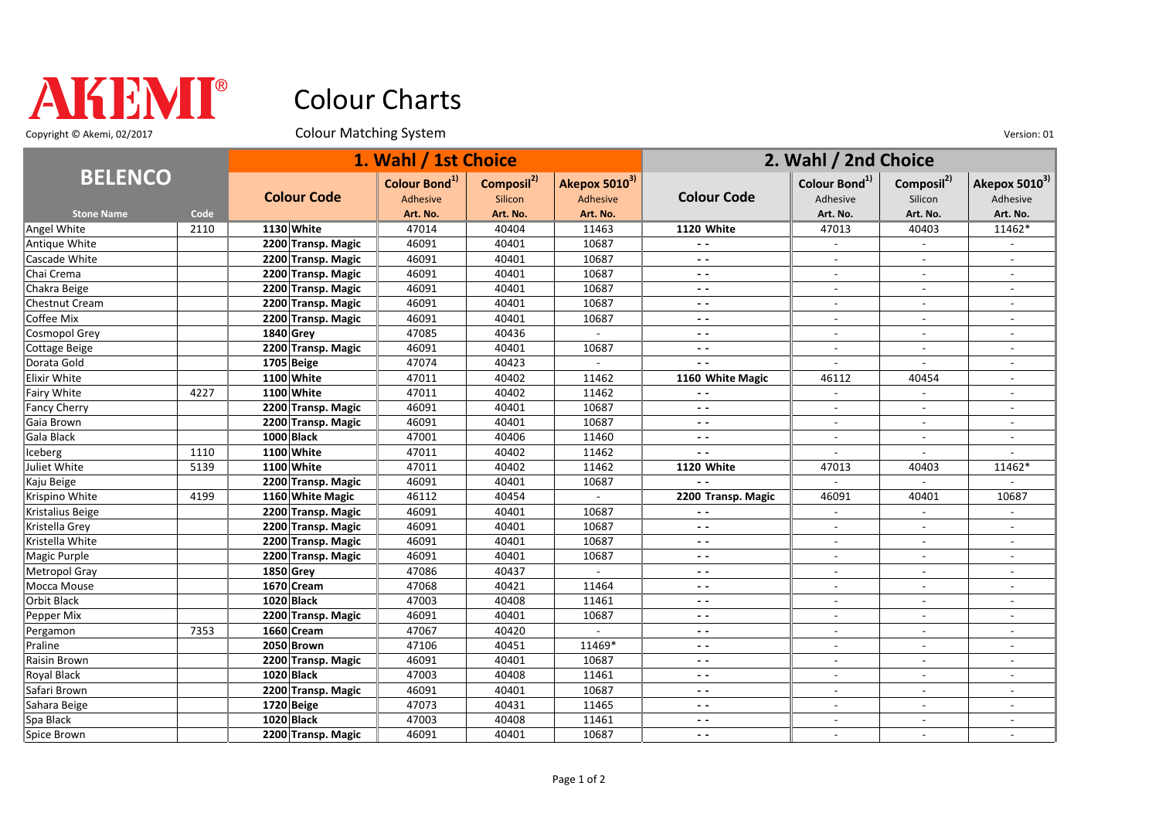

## Colour Charts

Copyright © Akemi, 02/2017 Colour Matching System Colour Matching System Version: 01

| <b>BELENCO</b>      |      | 1. Wahl / 1st Choice |                                       |                                   |                           | 2. Wahl / 2nd Choice     |                                       |                                   |                                       |
|---------------------|------|----------------------|---------------------------------------|-----------------------------------|---------------------------|--------------------------|---------------------------------------|-----------------------------------|---------------------------------------|
|                     |      | <b>Colour Code</b>   | Colour Bond <sup>1)</sup><br>Adhesive | Composil <sup>2)</sup><br>Silicon | Akepox 50103)<br>Adhesive | <b>Colour Code</b>       | Colour Bond <sup>1)</sup><br>Adhesive | Composil <sup>2)</sup><br>Silicon | Akepox 5010 <sup>3)</sup><br>Adhesive |
| <b>Stone Name</b>   | Code |                      | Art. No.                              | Art. No.                          | Art. No.                  |                          | Art. No.                              | Art. No.                          | Art. No.                              |
| Angel White         | 2110 | 1130 White           | 47014                                 | 40404                             | 11463                     | 1120 White               | 47013                                 | 40403                             | 11462*                                |
| Antique White       |      | 2200 Transp. Magic   | 46091                                 | 40401                             | 10687                     | $\overline{\phantom{a}}$ | $\overline{\phantom{a}}$              | $\blacksquare$                    |                                       |
| Cascade White       |      | 2200 Transp. Magic   | 46091                                 | 40401                             | 10687                     | $\sim$ $\sim$            |                                       | $\overline{a}$                    |                                       |
| Chai Crema          |      | 2200 Transp. Magic   | 46091                                 | 40401                             | 10687                     | $ -$                     |                                       |                                   |                                       |
| Chakra Beige        |      | 2200 Transp. Magic   | 46091                                 | 40401                             | 10687                     | $\sim$ $\sim$            | $\overline{\phantom{a}}$              | $\overline{\phantom{a}}$          |                                       |
| Chestnut Cream      |      | 2200 Transp. Magic   | 46091                                 | 40401                             | 10687                     | $ -$                     |                                       |                                   |                                       |
| Coffee Mix          |      | 2200 Transp. Magic   | 46091                                 | 40401                             | 10687                     | $ -$                     | $\blacksquare$                        | $\overline{a}$                    | $\overline{a}$                        |
| Cosmopol Grey       |      | 1840 Grey            | 47085                                 | 40436                             | $\mathcal{L}$             | $\sim$ $\sim$            | $\sim$                                | $\sim$                            | $\overline{\phantom{a}}$              |
| Cottage Beige       |      | 2200 Transp. Magic   | 46091                                 | 40401                             | 10687                     | $\sim$ $\sim$            | $\overline{\phantom{a}}$              | $\overline{\phantom{a}}$          |                                       |
| Dorata Gold         |      | 1705 Beige           | 47074                                 | 40423                             |                           | $\overline{a}$           |                                       |                                   |                                       |
| Elixir White        |      | 1100 White           | 47011                                 | 40402                             | 11462                     | 1160 White Magic         | 46112                                 | 40454                             | $\blacksquare$                        |
| Fairy White         | 4227 | 1100 White           | 47011                                 | 40402                             | 11462                     | $\overline{a}$           | $\blacksquare$                        | $\overline{\phantom{a}}$          |                                       |
| <b>Fancy Cherry</b> |      | 2200 Transp. Magic   | 46091                                 | 40401                             | 10687                     | $\sim$ $\sim$            |                                       |                                   |                                       |
| Gaia Brown          |      | 2200 Transp. Magic   | 46091                                 | 40401                             | 10687                     | $\overline{\phantom{a}}$ | $\sim$                                | $\overline{a}$                    | $\overline{a}$                        |
| Gala Black          |      | 1000 Black           | 47001                                 | 40406                             | 11460                     | $\overline{\phantom{a}}$ | $\sim$                                | $\overline{a}$                    |                                       |
| Iceberg             | 1110 | 1100 White           | 47011                                 | 40402                             | 11462                     | $\overline{a}$           | $\sim$                                | $\overline{\phantom{a}}$          |                                       |
| Juliet White        | 5139 | 1100 White           | 47011                                 | 40402                             | 11462                     | 1120 White               | 47013                                 | 40403                             | 11462*                                |
| Kaju Beige          |      | 2200 Transp. Magic   | 46091                                 | 40401                             | 10687                     | $\overline{\phantom{a}}$ | $\sim$                                | $\overline{a}$                    | $\overline{a}$                        |
| Krispino White      | 4199 | 1160 White Magic     | 46112                                 | 40454                             |                           | 2200 Transp. Magic       | 46091                                 | 40401                             | 10687                                 |
| Kristalius Beige    |      | 2200 Transp. Magic   | 46091                                 | 40401                             | 10687                     |                          |                                       |                                   |                                       |
| Kristella Grey      |      | 2200 Transp. Magic   | 46091                                 | 40401                             | 10687                     | $\overline{a}$           |                                       | $\overline{a}$                    |                                       |
| Kristella White     |      | 2200 Transp. Magic   | 46091                                 | 40401                             | 10687                     | $\overline{\phantom{a}}$ | $\overline{\phantom{a}}$              | $\blacksquare$                    | $\overline{\phantom{a}}$              |
| Magic Purple        |      | 2200 Transp. Magic   | 46091                                 | 40401                             | 10687                     | $\sim$ $\sim$            | $\overline{\phantom{a}}$              | $\blacksquare$                    |                                       |
| Metropol Gray       |      | <b>1850 Grey</b>     | 47086                                 | 40437                             |                           | ٠.                       |                                       | $\overline{\phantom{a}}$          |                                       |
| Mocca Mouse         |      | 1670 Cream           | 47068                                 | 40421                             | 11464                     | $\sim$ $\sim$            | $\blacksquare$                        | $\sim$                            | $\overline{\phantom{a}}$              |
| Orbit Black         |      | 1020 Black           | 47003                                 | 40408                             | 11461                     | $ -$                     | $\sim$                                | $\sim$                            | $\overline{a}$                        |
| Pepper Mix          |      | 2200 Transp. Magic   | 46091                                 | 40401                             | 10687                     | $ -$                     | $\overline{\phantom{a}}$              | $\blacksquare$                    |                                       |
| Pergamon            | 7353 | 1660 Cream           | 47067                                 | 40420                             |                           | $ -$                     |                                       |                                   |                                       |
| Praline             |      | 2050 Brown           | 47106                                 | 40451                             | 11469*                    | $ -$                     | $\blacksquare$                        | $\overline{a}$                    | $\overline{a}$                        |
| Raisin Brown        |      | 2200 Transp. Magic   | 46091                                 | 40401                             | 10687                     | $\sim$ $\sim$            | $\sim$                                | $\overline{\phantom{a}}$          | $\overline{\phantom{a}}$              |
| Royal Black         |      | 1020 Black           | 47003                                 | 40408                             | 11461                     | $ -$                     | $\overline{\phantom{a}}$              | $\overline{\phantom{a}}$          |                                       |
| Safari Brown        |      | 2200 Transp. Magic   | 46091                                 | 40401                             | 10687                     | $\overline{a}$           | $\overline{a}$                        | $\overline{a}$                    | $\overline{a}$                        |
| Sahara Beige        |      | 1720 Beige           | 47073                                 | 40431                             | 11465                     | $\sim$ $\sim$            | $\sim$                                | $\sim$                            | $\overline{\phantom{a}}$              |
| Spa Black           |      | 1020 Black           | 47003                                 | 40408                             | 11461                     | $ -$                     |                                       | $\blacksquare$                    | $\overline{a}$                        |
| Spice Brown         |      | 2200 Transp. Magic   | 46091                                 | 40401                             | 10687                     | $ -$                     |                                       |                                   |                                       |